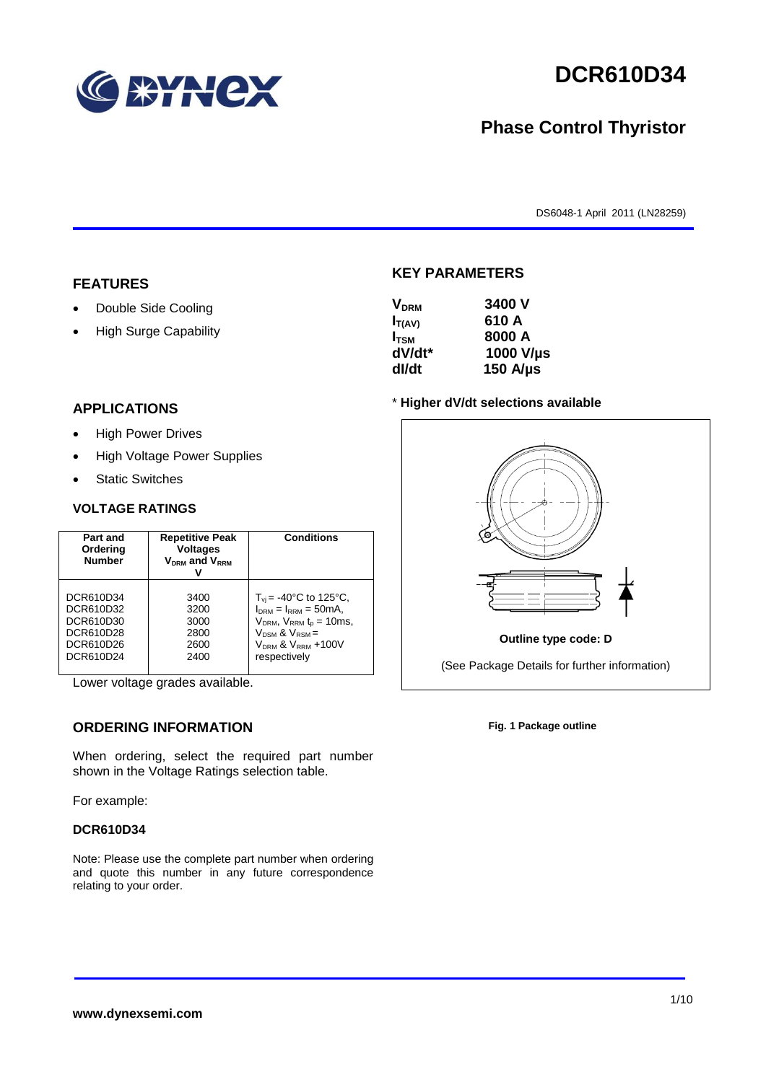

# **DCR610D34**

## **Phase Control Thyristor**

DS6048-1 April 2011 (LN28259)

#### **FEATURES**

- Double Side Cooling
- High Surge Capability

## **APPLICATIONS**

- High Power Drives
- High Voltage Power Supplies
- Static Switches

#### **VOLTAGE RATINGS**

| Part and<br>Ordering<br><b>Number</b> | <b>Repetitive Peak</b><br><b>Voltages</b><br>$V_{DRM}$ and $V_{RRM}$ | <b>Conditions</b>                     |
|---------------------------------------|----------------------------------------------------------------------|---------------------------------------|
| DCR610D34                             | 3400                                                                 | $T_{\rm vi}$ = -40°C to 125°C,        |
| DCR610D32                             | 3200                                                                 | $I_{nRM} = I_{RRM} = 50mA$ ,          |
| DCR610D30                             | 3000                                                                 | $V_{DRM}$ , $V_{RRM}$ $t_{p}$ = 10ms, |
| DCR610D28                             | 2800                                                                 | $V_{DSM}$ & $V_{RSM}$ =               |
| DCR610D26                             | 2600                                                                 | $VDRM$ & $VRRM + 100V$                |
| DCR610D24                             | 2400                                                                 | respectively                          |

Lower voltage grades available.

### **ORDERING INFORMATION**

When ordering, select the required part number shown in the Voltage Ratings selection table.

For example:

#### **DCR610D34**

Note: Please use the complete part number when ordering and quote this number in any future correspondence relating to your order.

#### **KEY PARAMETERS**

| <b>V<sub>DRM</sub></b> | 3400 V        |
|------------------------|---------------|
| $I_{T(AV)}$            | 610 A         |
| $I_{\text{TSM}}$       | 8000 A        |
| dV/dt*                 | 1000 V/µs     |
| dl/dt                  | 150 $A/\mu s$ |

#### \* **Higher dV/dt selections available**



**Fig. 1 Package outline**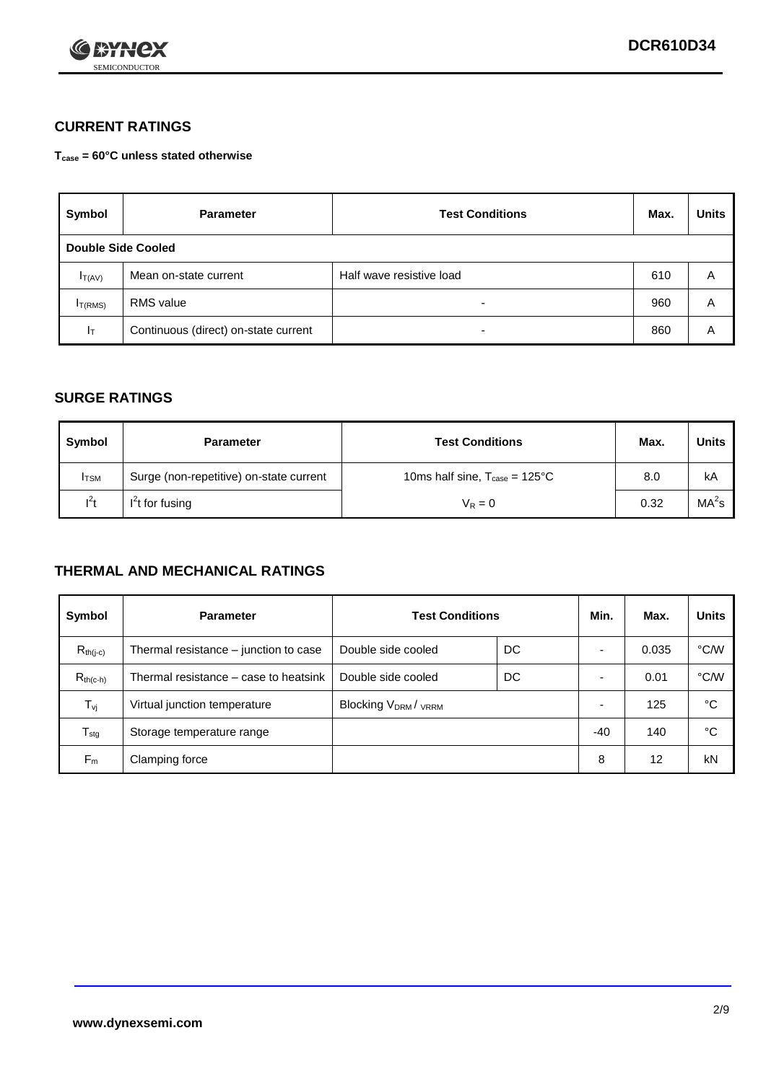

### **CURRENT RATINGS**

**Tcase = 60°C unless stated otherwise**

| Symbol             | <b>Parameter</b>                     | <b>Test Conditions</b>   |     | <b>Units</b> |  |
|--------------------|--------------------------------------|--------------------------|-----|--------------|--|
| Double Side Cooled |                                      |                          |     |              |  |
| $I_{T(AV)}$        | Mean on-state current                | Half wave resistive load | 610 | Α            |  |
| $I_{T(RMS)}$       | <b>RMS</b> value                     | $\overline{\phantom{0}}$ | 960 | A            |  |
| Iт                 | Continuous (direct) on-state current | $\overline{\phantom{0}}$ | 860 | A            |  |

#### **SURGE RATINGS**

| Symbol       | <b>Parameter</b>                        | <b>Test Conditions</b>                            | Max. | <b>Units</b>      |
|--------------|-----------------------------------------|---------------------------------------------------|------|-------------------|
| <b>I</b> TSM | Surge (non-repetitive) on-state current | 10ms half sine, $T_{\text{case}} = 125^{\circ}$ C | 8.0  | kA                |
| $l^2t$       | I <sup>'</sup> t for fusing             | $V_R = 0$                                         | 0.32 | MA <sup>2</sup> s |

#### **THERMAL AND MECHANICAL RATINGS**

| Symbol           | <b>Parameter</b>                      | <b>Test Conditions</b>                      |    | Min.                     | Max.  | <b>Units</b> |
|------------------|---------------------------------------|---------------------------------------------|----|--------------------------|-------|--------------|
| $R_{th(j-c)}$    | Thermal resistance – junction to case | Double side cooled                          | DC |                          | 0.035 | °C/W         |
| $R_{th(c-h)}$    | Thermal resistance – case to heatsink | Double side cooled                          | DC |                          | 0.01  | °C/W         |
| $T_{\nu j}$      | Virtual junction temperature          | Blocking V <sub>DRM</sub> / <sub>VRRM</sub> |    | $\overline{\phantom{0}}$ | 125   | °C           |
| $T_{\text{stg}}$ | Storage temperature range             |                                             |    | -40                      | 140   | °C           |
| $F_m$            | Clamping force                        |                                             |    | 8                        | 12    | kN           |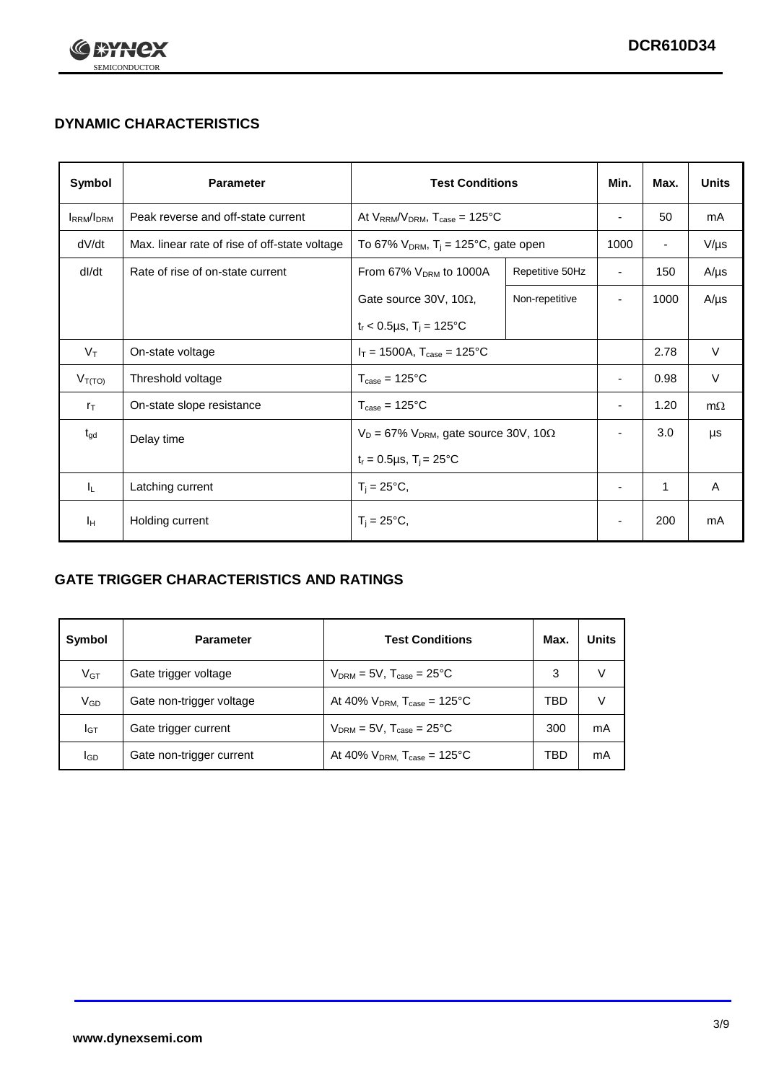

## **DYNAMIC CHARACTERISTICS**

| Symbol                             | <b>Parameter</b>                              | <b>Test Conditions</b>                                       |                                                  | Min.                     | Max.                     | <b>Units</b> |
|------------------------------------|-----------------------------------------------|--------------------------------------------------------------|--------------------------------------------------|--------------------------|--------------------------|--------------|
| I <sub>RRM</sub> /I <sub>DRM</sub> | Peak reverse and off-state current            |                                                              | At $V_{RRM}/V_{DRM}$ , $T_{case} = 125^{\circ}C$ |                          | 50                       | mA           |
| dV/dt                              | Max. linear rate of rise of off-state voltage | To 67% $V_{DRM}$ , T <sub>i</sub> = 125°C, gate open         |                                                  | 1000                     | $\overline{\phantom{a}}$ | $V/\mu s$    |
| dl/dt                              | Rate of rise of on-state current              | From 67% $V_{DRM}$ to 1000A                                  | Repetitive 50Hz                                  | $\overline{\phantom{a}}$ | 150                      | $A/\mu s$    |
|                                    |                                               | Gate source 30V, 10 $\Omega$ ,                               | Non-repetitive                                   | $\overline{\phantom{0}}$ | 1000                     | $A/\mu s$    |
|                                    |                                               | $t_r$ < 0.5µs, $T_i$ = 125°C                                 |                                                  |                          |                          |              |
| $V_T$                              | On-state voltage                              | $I_T = 1500A$ , $T_{case} = 125^{\circ}C$                    |                                                  |                          | 2.78                     | $\vee$       |
| $V_{T(TO)}$                        | Threshold voltage                             | $T_{\text{case}} = 125^{\circ}C$                             |                                                  | $\overline{\phantom{a}}$ | 0.98                     | $\vee$       |
| $r_{\text{T}}$                     | On-state slope resistance                     | $T_{\text{case}} = 125^{\circ}C$                             |                                                  |                          | 1.20                     | $m\Omega$    |
| $t_{gd}$                           | Delay time                                    | $V_D = 67\%$ V <sub>DRM</sub> , gate source 30V, 10 $\Omega$ |                                                  | $\overline{\phantom{a}}$ | 3.0                      | μs           |
|                                    |                                               | $t_r = 0.5 \mu s$ , $T_i = 25^{\circ}C$                      |                                                  |                          |                          |              |
| IL.                                | Latching current                              | $T_i = 25^{\circ}C,$                                         |                                                  | $\overline{\phantom{a}}$ | 1                        | Α            |
| Iн                                 | Holding current                               | $T_i = 25^{\circ}C,$                                         |                                                  |                          | 200                      | mA           |

### **GATE TRIGGER CHARACTERISTICS AND RATINGS**

| Symbol | <b>Parameter</b>         | <b>Test Conditions</b>                       | Max. | <b>Units</b> |
|--------|--------------------------|----------------------------------------------|------|--------------|
| $V$ GT | Gate trigger voltage     | $V_{DRM} = 5V$ , $T_{case} = 25^{\circ}C$    | 3    |              |
| VGD    | Gate non-trigger voltage | At 40% $V_{DRM}$ , $T_{case} = 125^{\circ}C$ | TBD  |              |
| Iст    | Gate trigger current     | $V_{DRM}$ = 5V, $T_{case}$ = 25°C            | 300  | mA           |
| lgp    | Gate non-trigger current | At 40% $V_{DRM}$ , $T_{case} = 125^{\circ}C$ | TBD  | mA           |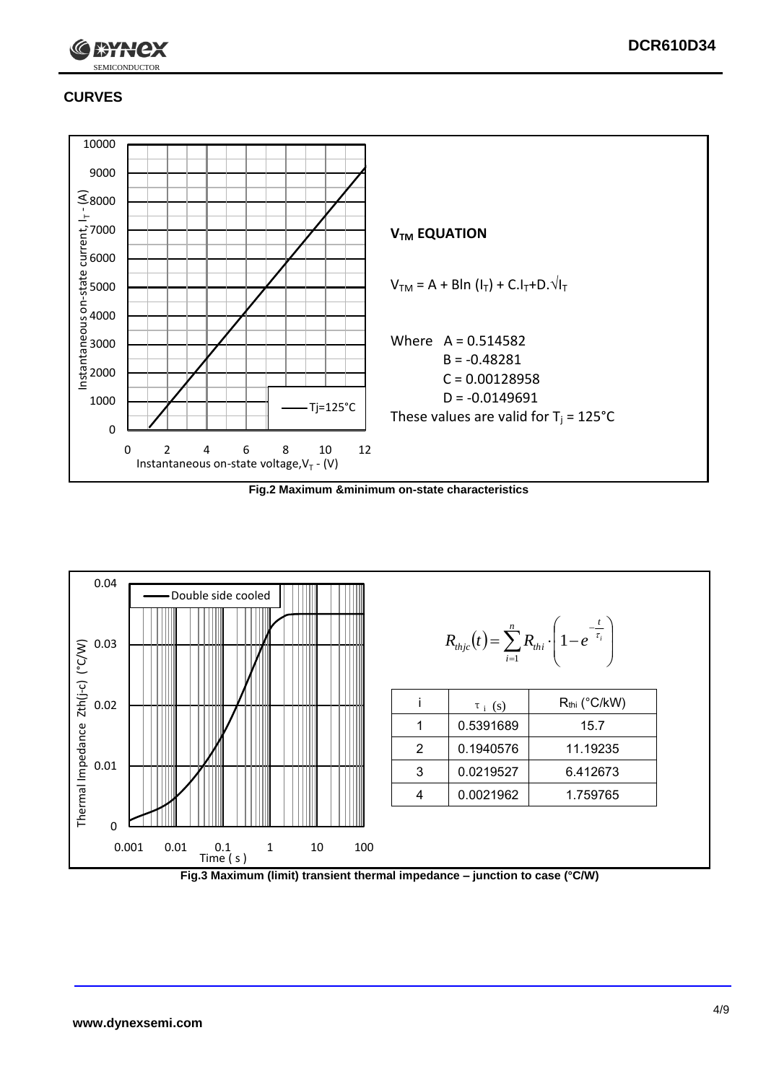

### **CURVES**

SEMICONDUCTOR



**Fig.2 Maximum &minimum on-state characteristics**



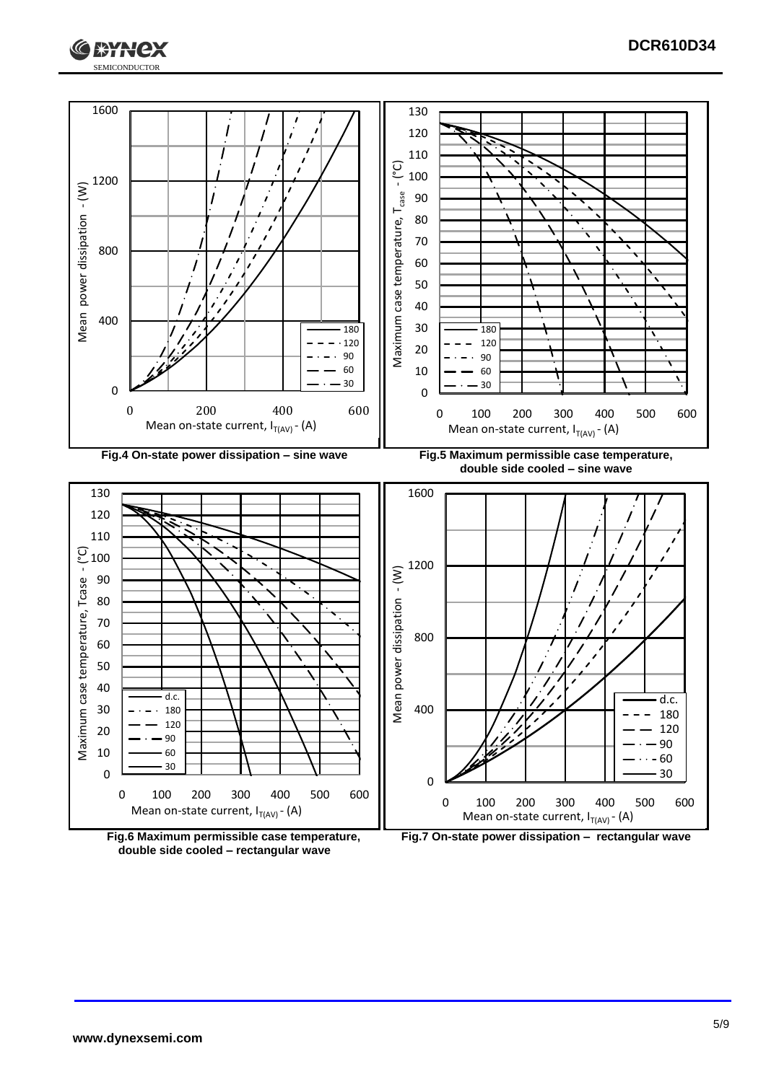



**double side cooled – rectangular wave**

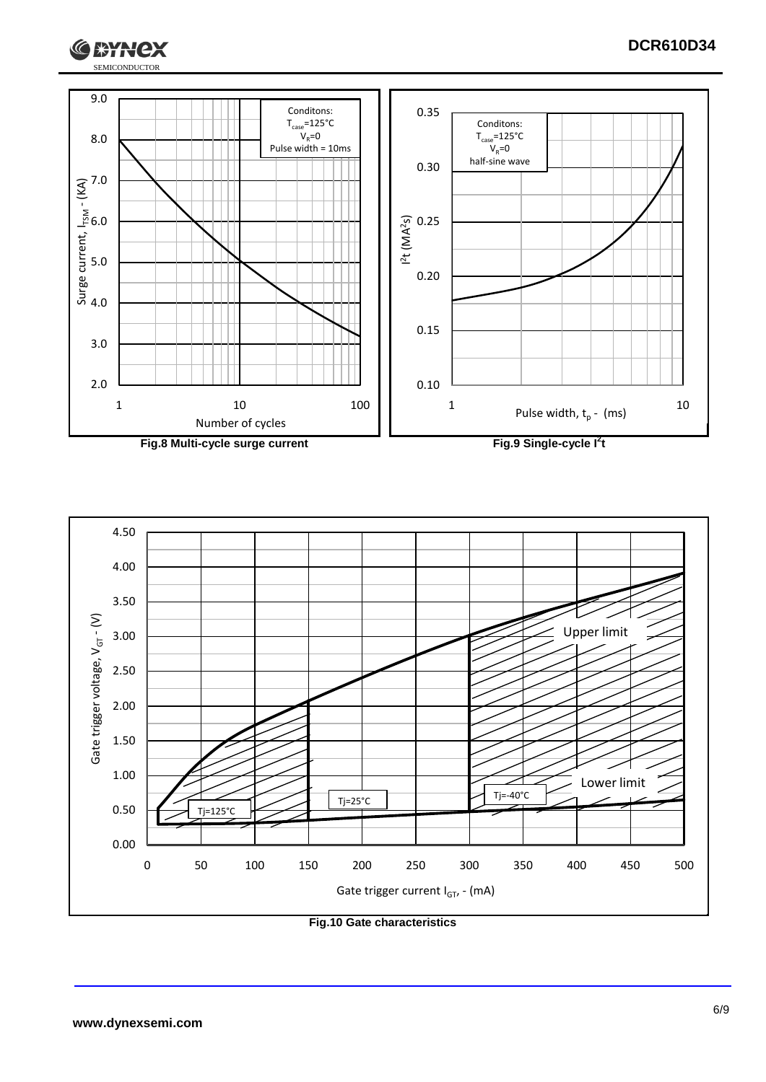





**Fig.10 Gate characteristics**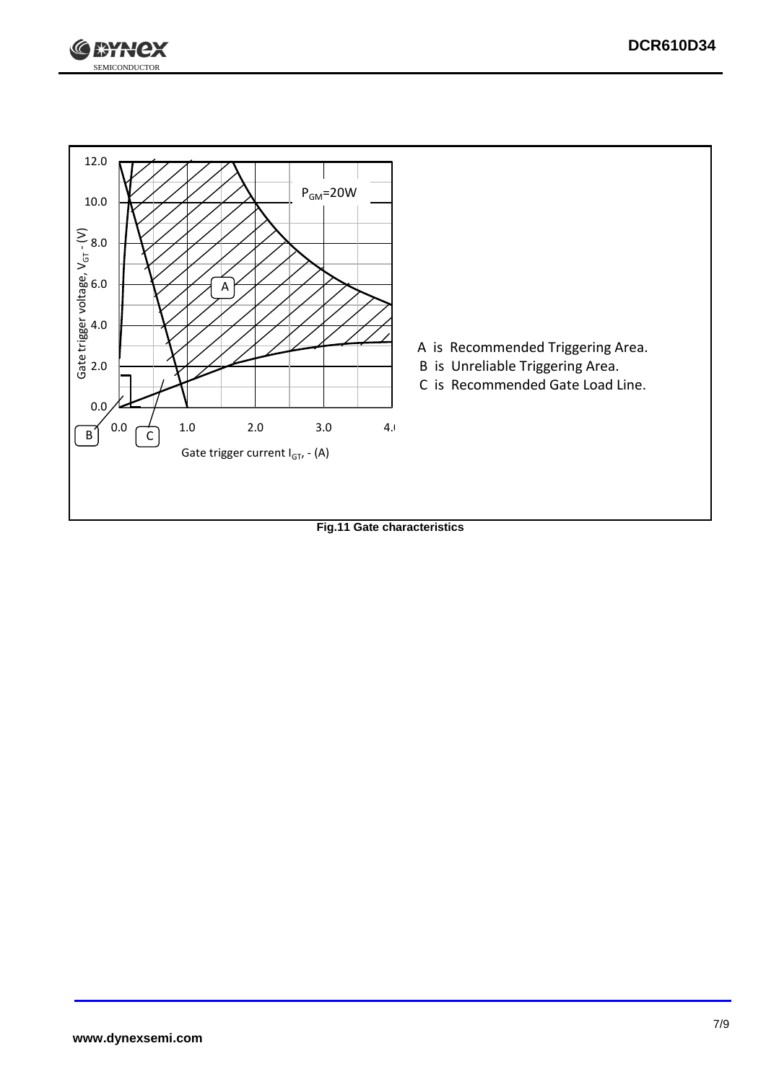



**Fig.11 Gate characteristics**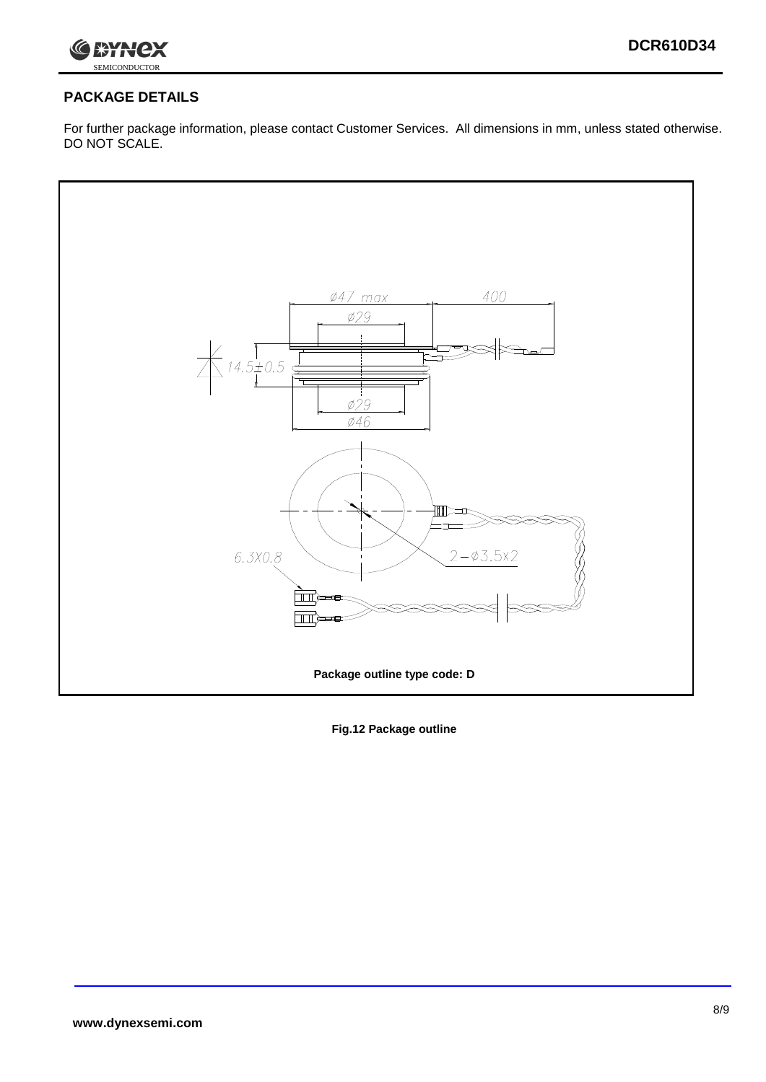

## **PACKAGE DETAILS**

For further package information, please contact Customer Services. All dimensions in mm, unless stated otherwise. DO NOT SCALE.



**Fig.12 Package outline**